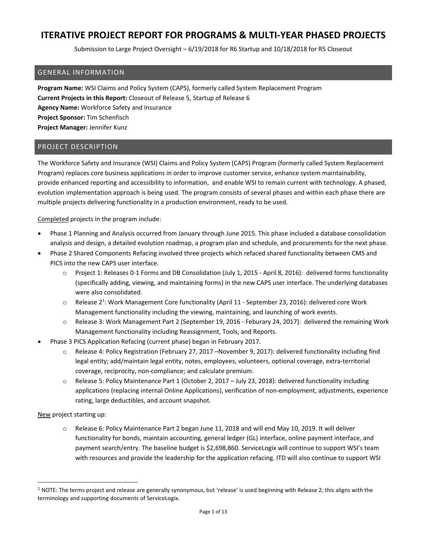Submission to Large Project Oversight – 6/19/2018 for R6 Startup and 10/18/2018 for R5 Closeout

### GENERAL INFORMATION

**Program Name:** WSI Claims and Policy System (CAPS), formerly called System Replacement Program **Current Projects in this Report:** Closeout of Release 5, Startup of Release 6 **Agency Name:** Workforce Safety and Insurance **Project Sponsor:** Tim Schenfisch **Project Manager:** Jennifer Kunz

### PROJECT DESCRIPTION

The Workforce Safety and Insurance (WSI) Claims and Policy System (CAPS) Program (formerly called System Replacement Program) replaces core business applications in order to improve customer service, enhance system maintainability, provide enhanced reporting and accessibility to information, and enable WSI to remain current with technology. A phased, evolution implementation approach is being used. The program consists of several phases and within each phase there are multiple projects delivering functionality in a production environment, ready to be used.

Completed projects in the program include:

- Phase 1 Planning and Analysis occurred from January through June 2015. This phase included a database consolidation analysis and design, a detailed evolution roadmap, a program plan and schedule, and procurements for the next phase.
- Phase 2 Shared Components Refacing involved three projects which refaced shared functionality between CMS and PICS into the new CAPS user interface.
	- o Project 1: Releases 0‐1 Forms and DB Consolidation (July 1, 2015 ‐ April 8, 2016): delivered forms functionality (specifically adding, viewing, and maintaining forms) in the new CAPS user interface. The underlying databases were also consolidated.
	- Release 2<sup>1</sup>: Work Management Core functionality (April 11 September 23, 2016): delivered core Work Management functionality including the viewing, maintaining, and launching of work events.
	- o Release 3: Work Management Part 2 (September 19, 2016 ‐ Feburary 24, 2017): delivered the remaining Work Management functionality including Reassignment, Tools, and Reports.
- Phase 3 PICS Application Refacing (current phase) began in February 2017.
	- o Release 4: Policy Registration (February 27, 2017 –November 9, 2017): delivered functionality including find legal entity; add/maintain legal entity, notes, employees, volunteers, optional coverage, extra‐territorial coverage, reciprocity, non‐compliance; and calculate premium.
	- o Release 5: Policy Maintenance Part 1 (October 2, 2017 July 23, 2018): delivered functionality including applications (replacing internal Online Applications), verification of non‐employment, adjustments, experience rating, large deductibles, and account snapshot.

New project starting up:

o Release 6: Policy Maintenance Part 2 began June 11, 2018 and will end May 10, 2019. It will deliver functionality for bonds, maintain accounting, general ledger (GL) interface, online payment interface, and payment search/entry. The baseline budget is \$2,698,860. ServiceLogix will continue to support WSI's team with resources and provide the leadership for the application refacing. ITD will also continue to support WSI

 $1$  NOTE: The terms project and release are generally synonymous, but 'release' is used beginning with Release 2; this aligns with the terminology and supporting documents of ServiceLogix.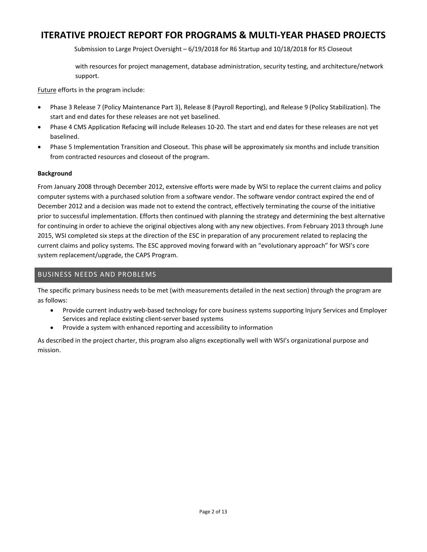Submission to Large Project Oversight – 6/19/2018 for R6 Startup and 10/18/2018 for R5 Closeout

with resources for project management, database administration, security testing, and architecture/network support.

Future efforts in the program include:

- Phase 3 Release 7 (Policy Maintenance Part 3), Release 8 (Payroll Reporting), and Release 9 (Policy Stabilization). The start and end dates for these releases are not yet baselined.
- Phase 4 CMS Application Refacing will include Releases 10‐20. The start and end dates for these releases are not yet baselined.
- Phase 5 Implementation Transition and Closeout. This phase will be approximately six months and include transition from contracted resources and closeout of the program.

### **Background**

From January 2008 through December 2012, extensive efforts were made by WSI to replace the current claims and policy computer systems with a purchased solution from a software vendor. The software vendor contract expired the end of December 2012 and a decision was made not to extend the contract, effectively terminating the course of the initiative prior to successful implementation. Efforts then continued with planning the strategy and determining the best alternative for continuing in order to achieve the original objectives along with any new objectives. From February 2013 through June 2015, WSI completed six steps at the direction of the ESC in preparation of any procurement related to replacing the current claims and policy systems. The ESC approved moving forward with an "evolutionary approach" for WSI's core system replacement/upgrade, the CAPS Program.

## BUSINESS NEEDS AND PROBLEMS

The specific primary business needs to be met (with measurements detailed in the next section) through the program are as follows:

- Provide current industry web-based technology for core business systems supporting Injury Services and Employer Services and replace existing client‐server based systems
- Provide a system with enhanced reporting and accessibility to information

As described in the project charter, this program also aligns exceptionally well with WSI's organizational purpose and mission.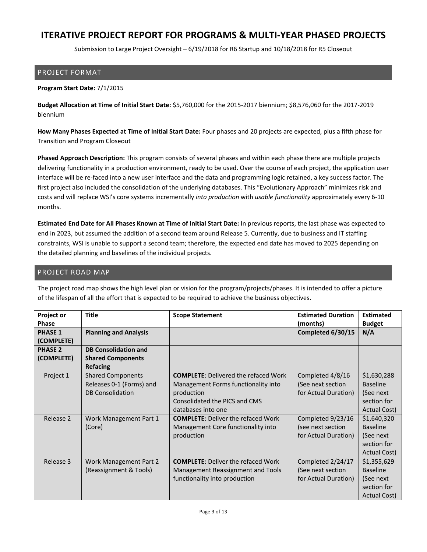Submission to Large Project Oversight – 6/19/2018 for R6 Startup and 10/18/2018 for R5 Closeout

### PROJECT FORMAT

#### **Program Start Date:** 7/1/2015

**Budget Allocation at Time of Initial Start Date:** \$5,760,000 for the 2015‐2017 biennium; \$8,576,060 for the 2017‐2019 biennium

**How Many Phases Expected at Time of Initial Start Date:** Four phases and 20 projects are expected, plus a fifth phase for Transition and Program Closeout

**Phased Approach Description:** This program consists of several phases and within each phase there are multiple projects delivering functionality in a production environment, ready to be used. Over the course of each project, the application user interface will be re‐faced into a new user interface and the data and programming logic retained, a key success factor. The first project also included the consolidation of the underlying databases. This "Evolutionary Approach" minimizes risk and costs and will replace WSI's core systems incrementally *into production* with *usable functionality* approximately every 6‐10 months.

**Estimated End Date for All Phases Known at Time of Initial Start Date:** In previous reports, the last phase was expected to end in 2023, but assumed the addition of a second team around Release 5. Currently, due to business and IT staffing constraints, WSI is unable to support a second team; therefore, the expected end date has moved to 2025 depending on the detailed planning and baselines of the individual projects.

### PROJECT ROAD MAP

| Project or<br><b>Phase</b>   | <b>Title</b>                 | <b>Scope Statement</b>                      | <b>Estimated Duration</b><br>(months) | <b>Estimated</b><br><b>Budget</b> |
|------------------------------|------------------------------|---------------------------------------------|---------------------------------------|-----------------------------------|
| <b>PHASE 1</b><br>(COMPLETE) | <b>Planning and Analysis</b> |                                             | Completed 6/30/15                     | N/A                               |
| <b>PHASE 2</b>               | <b>DB Consolidation and</b>  |                                             |                                       |                                   |
| (COMPLETE)                   | <b>Shared Components</b>     |                                             |                                       |                                   |
|                              | <b>Refacing</b>              |                                             |                                       |                                   |
| Project 1                    | <b>Shared Components</b>     | <b>COMPLETE: Delivered the refaced Work</b> | Completed 4/8/16                      | \$1,630,288                       |
|                              | Releases 0-1 (Forms) and     | Management Forms functionality into         | (See next section                     | <b>Baseline</b>                   |
|                              | <b>DB Consolidation</b>      | production                                  | for Actual Duration)                  | (See next)                        |
|                              |                              | Consolidated the PICS and CMS               |                                       | section for                       |
|                              |                              | databases into one                          |                                       | Actual Cost)                      |
| Release 2                    | Work Management Part 1       | <b>COMPLETE: Deliver the refaced Work</b>   | Completed 9/23/16                     | \$1,640,320                       |
|                              | (Core)                       | Management Core functionality into          | (see next section                     | <b>Baseline</b>                   |
|                              |                              | production                                  | for Actual Duration)                  | (See next                         |
|                              |                              |                                             |                                       | section for                       |
|                              |                              |                                             |                                       | Actual Cost)                      |
| Release 3                    | Work Management Part 2       | <b>COMPLETE: Deliver the refaced Work</b>   | Completed 2/24/17                     | \$1,355,629                       |
|                              | (Reassignment & Tools)       | Management Reassignment and Tools           | (See next section                     | <b>Baseline</b>                   |
|                              |                              | functionality into production               | for Actual Duration)                  | (See next)                        |
|                              |                              |                                             |                                       | section for                       |
|                              |                              |                                             |                                       | Actual Cost)                      |

The project road map shows the high level plan or vision for the program/projects/phases. It is intended to offer a picture of the lifespan of all the effort that is expected to be required to achieve the business objectives.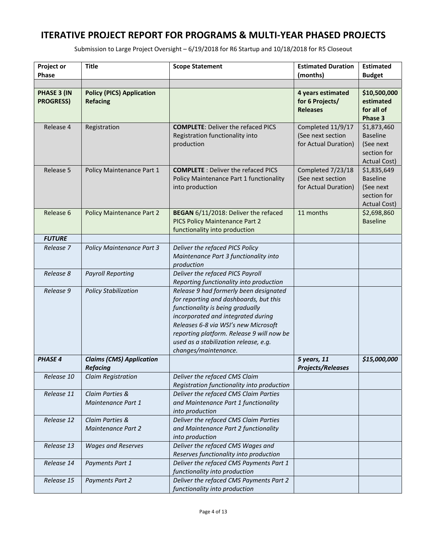| <b>Project or</b><br><b>Phase</b> | <b>Title</b>                                        | <b>Scope Statement</b>                                                                                                                                                                                                                                                                                           | <b>Estimated Duration</b><br>(months)                          | <b>Estimated</b><br><b>Budget</b>                                                 |
|-----------------------------------|-----------------------------------------------------|------------------------------------------------------------------------------------------------------------------------------------------------------------------------------------------------------------------------------------------------------------------------------------------------------------------|----------------------------------------------------------------|-----------------------------------------------------------------------------------|
| PHASE 3 (IN<br><b>PROGRESS)</b>   | <b>Policy (PICS) Application</b><br><b>Refacing</b> |                                                                                                                                                                                                                                                                                                                  | 4 years estimated<br>for 6 Projects/<br><b>Releases</b>        | \$10,500,000<br>estimated<br>for all of<br>Phase 3                                |
| Release 4                         | Registration                                        | <b>COMPLETE: Deliver the refaced PICS</b><br>Registration functionality into<br>production                                                                                                                                                                                                                       | Completed 11/9/17<br>(See next section<br>for Actual Duration) | \$1,873,460<br><b>Baseline</b><br>(See next<br>section for<br><b>Actual Cost)</b> |
| Release 5                         | Policy Maintenance Part 1                           | <b>COMPLETE</b> : Deliver the refaced PICS<br>Policy Maintenance Part 1 functionality<br>into production                                                                                                                                                                                                         | Completed 7/23/18<br>(See next section<br>for Actual Duration) | \$1,835,649<br><b>Baseline</b><br>(See next<br>section for<br><b>Actual Cost)</b> |
| Release 6                         | <b>Policy Maintenance Part 2</b>                    | BEGAN 6/11/2018: Deliver the refaced<br>PICS Policy Maintenance Part 2<br>functionality into production                                                                                                                                                                                                          | 11 months                                                      | \$2,698,860<br><b>Baseline</b>                                                    |
| <b>FUTURE</b>                     |                                                     |                                                                                                                                                                                                                                                                                                                  |                                                                |                                                                                   |
| Release 7                         | <b>Policy Maintenance Part 3</b>                    | Deliver the refaced PICS Policy<br>Maintenance Part 3 functionality into<br>production                                                                                                                                                                                                                           |                                                                |                                                                                   |
| Release 8                         | <b>Payroll Reporting</b>                            | Deliver the refaced PICS Payroll<br>Reporting functionality into production                                                                                                                                                                                                                                      |                                                                |                                                                                   |
| Release 9                         | <b>Policy Stabilization</b>                         | Release 9 had formerly been designated<br>for reporting and dashboards, but this<br>functionality is being gradually<br>incorporated and integrated during<br>Releases 6-8 via WSI's new Microsoft<br>reporting platform. Release 9 will now be<br>used as a stabilization release, e.g.<br>changes/maintenance. |                                                                |                                                                                   |
| <b>PHASE 4</b>                    | <b>Claims (CMS) Application</b><br><b>Refacing</b>  |                                                                                                                                                                                                                                                                                                                  | 5 years, 11<br><b>Projects/Releases</b>                        | \$15,000,000                                                                      |
| Release 10                        | <b>Claim Registration</b>                           | Deliver the refaced CMS Claim<br>Registration functionality into production                                                                                                                                                                                                                                      |                                                                |                                                                                   |
| Release 11                        | Claim Parties &<br>Maintenance Part 1               | Deliver the refaced CMS Claim Parties<br>and Maintenance Part 1 functionality<br>into production                                                                                                                                                                                                                 |                                                                |                                                                                   |
| Release 12                        | Claim Parties &<br><b>Maintenance Part 2</b>        | Deliver the refaced CMS Claim Parties<br>and Maintenance Part 2 functionality<br>into production                                                                                                                                                                                                                 |                                                                |                                                                                   |
| Release 13                        | <b>Wages and Reserves</b>                           | Deliver the refaced CMS Wages and<br>Reserves functionality into production                                                                                                                                                                                                                                      |                                                                |                                                                                   |
| Release 14                        | Payments Part 1                                     | Deliver the refaced CMS Payments Part 1<br>functionality into production                                                                                                                                                                                                                                         |                                                                |                                                                                   |
| Release 15                        | <b>Payments Part 2</b>                              | Deliver the refaced CMS Payments Part 2<br>functionality into production                                                                                                                                                                                                                                         |                                                                |                                                                                   |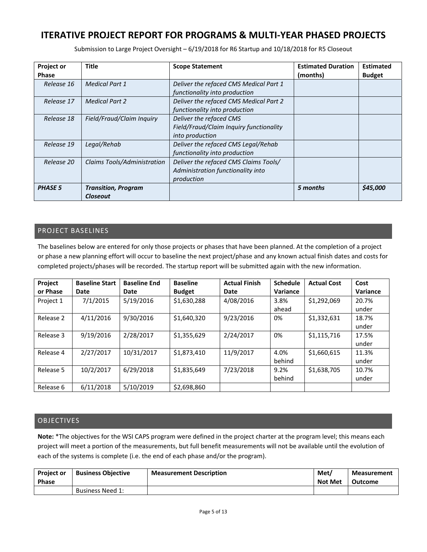Submission to Large Project Oversight – 6/19/2018 for R6 Startup and 10/18/2018 for R5 Closeout

| <b>Project or</b> | <b>Title</b>                | <b>Scope Statement</b>                  | <b>Estimated Duration</b> | <b>Estimated</b> |
|-------------------|-----------------------------|-----------------------------------------|---------------------------|------------------|
| <b>Phase</b>      |                             |                                         | (months)                  | <b>Budget</b>    |
| Release 16        | <b>Medical Part 1</b>       | Deliver the refaced CMS Medical Part 1  |                           |                  |
|                   |                             | functionality into production           |                           |                  |
| Release 17        | <b>Medical Part 2</b>       | Deliver the refaced CMS Medical Part 2  |                           |                  |
|                   |                             | functionality into production           |                           |                  |
| Release 18        | Field/Fraud/Claim Inquiry   | Deliver the refaced CMS                 |                           |                  |
|                   |                             | Field/Fraud/Claim Inquiry functionality |                           |                  |
|                   |                             | into production                         |                           |                  |
| Release 19        | Legal/Rehab                 | Deliver the refaced CMS Legal/Rehab     |                           |                  |
|                   |                             | functionality into production           |                           |                  |
| Release 20        | Claims Tools/Administration | Deliver the refaced CMS Claims Tools/   |                           |                  |
|                   |                             | Administration functionality into       |                           |                  |
|                   |                             | production                              |                           |                  |
| <b>PHASE 5</b>    | <b>Transition, Program</b>  |                                         | 5 months                  | \$45,000         |
|                   | <b>Closeout</b>             |                                         |                           |                  |

## PROJECT BASELINES

The baselines below are entered for only those projects or phases that have been planned. At the completion of a project or phase a new planning effort will occur to baseline the next project/phase and any known actual finish dates and costs for completed projects/phases will be recorded. The startup report will be submitted again with the new information.

| Project   | <b>Baseline Start</b> | <b>Baseline End</b> | <b>Baseline</b> | <b>Actual Finish</b> | <b>Schedule</b> | <b>Actual Cost</b> | Cost     |
|-----------|-----------------------|---------------------|-----------------|----------------------|-----------------|--------------------|----------|
| or Phase  | <b>Date</b>           | Date                | <b>Budget</b>   | Date                 | Variance        |                    | Variance |
| Project 1 | 7/1/2015              | 5/19/2016           | \$1,630,288     | 4/08/2016            | 3.8%            | \$1,292,069        | 20.7%    |
|           |                       |                     |                 |                      | ahead           |                    | under    |
| Release 2 | 4/11/2016             | 9/30/2016           | \$1,640,320     | 9/23/2016            | 0%              | \$1,332,631        | 18.7%    |
|           |                       |                     |                 |                      |                 |                    | under    |
| Release 3 | 9/19/2016             | 2/28/2017           | \$1,355,629     | 2/24/2017            | 0%              | \$1,115,716        | 17.5%    |
|           |                       |                     |                 |                      |                 |                    | under    |
| Release 4 | 2/27/2017             | 10/31/2017          | \$1,873,410     | 11/9/2017            | 4.0%            | \$1,660,615        | 11.3%    |
|           |                       |                     |                 |                      | behind          |                    | under    |
| Release 5 | 10/2/2017             | 6/29/2018           | \$1,835,649     | 7/23/2018            | 9.2%            | \$1,638,705        | 10.7%    |
|           |                       |                     |                 |                      | behind          |                    | under    |
| Release 6 | 6/11/2018             | 5/10/2019           | \$2,698,860     |                      |                 |                    |          |

### OBJECTIVES

**Note:** \*The objectives for the WSI CAPS program were defined in the project charter at the program level; this means each project will meet a portion of the measurements, but full benefit measurements will not be available until the evolution of each of the systems is complete (i.e. the end of each phase and/or the program).

| <b>Project or</b><br><b>Phase</b> | <b>Business Objective</b> | <b>Measurement Description</b> | Met/<br>Not Met | <b>Measurement</b><br>Outcome |
|-----------------------------------|---------------------------|--------------------------------|-----------------|-------------------------------|
|                                   | Business Need 1:          |                                |                 |                               |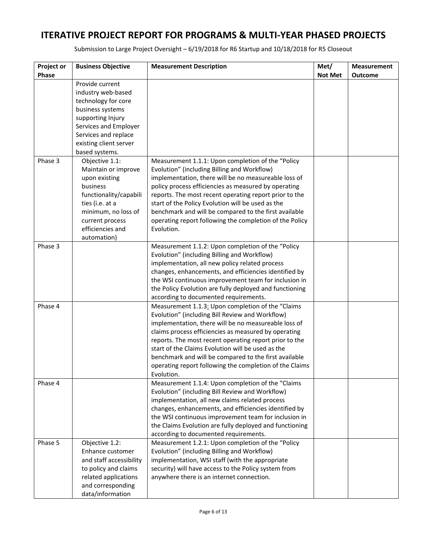| Project or<br>Phase | <b>Business Objective</b>                                                                                                                                                        | <b>Measurement Description</b>                                                                                                                                                                                                                                                                                                                                                                                                                                        | Met/<br><b>Not Met</b> | <b>Measurement</b><br><b>Outcome</b> |
|---------------------|----------------------------------------------------------------------------------------------------------------------------------------------------------------------------------|-----------------------------------------------------------------------------------------------------------------------------------------------------------------------------------------------------------------------------------------------------------------------------------------------------------------------------------------------------------------------------------------------------------------------------------------------------------------------|------------------------|--------------------------------------|
|                     | Provide current<br>industry web-based<br>technology for core<br>business systems<br>supporting Injury<br>Services and Employer<br>Services and replace<br>existing client server |                                                                                                                                                                                                                                                                                                                                                                                                                                                                       |                        |                                      |
| Phase 3             | based systems.<br>Objective 1.1:                                                                                                                                                 | Measurement 1.1.1: Upon completion of the "Policy                                                                                                                                                                                                                                                                                                                                                                                                                     |                        |                                      |
|                     | Maintain or improve<br>upon existing<br>business<br>functionality/capabili<br>ties (i.e. at a<br>minimum, no loss of<br>current process<br>efficiencies and<br>automation)       | Evolution" (including Billing and Workflow)<br>implementation, there will be no measureable loss of<br>policy process efficiencies as measured by operating<br>reports. The most recent operating report prior to the<br>start of the Policy Evolution will be used as the<br>benchmark and will be compared to the first available<br>operating report following the completion of the Policy<br>Evolution.                                                          |                        |                                      |
| Phase 3             |                                                                                                                                                                                  | Measurement 1.1.2: Upon completion of the "Policy<br>Evolution" (including Billing and Workflow)<br>implementation, all new policy related process<br>changes, enhancements, and efficiencies identified by<br>the WSI continuous improvement team for inclusion in<br>the Policy Evolution are fully deployed and functioning<br>according to documented requirements.                                                                                               |                        |                                      |
| Phase 4             |                                                                                                                                                                                  | Measurement 1.1.3: Upon completion of the "Claims<br>Evolution" (including Bill Review and Workflow)<br>implementation, there will be no measureable loss of<br>claims process efficiencies as measured by operating<br>reports. The most recent operating report prior to the<br>start of the Claims Evolution will be used as the<br>benchmark and will be compared to the first available<br>operating report following the completion of the Claims<br>Evolution. |                        |                                      |
| Phase 4             |                                                                                                                                                                                  | Measurement 1.1.4: Upon completion of the "Claims<br>Evolution" (including Bill Review and Workflow)<br>implementation, all new claims related process<br>changes, enhancements, and efficiencies identified by<br>the WSI continuous improvement team for inclusion in<br>the Claims Evolution are fully deployed and functioning<br>according to documented requirements.                                                                                           |                        |                                      |
| Phase 5             | Objective 1.2:<br>Enhance customer<br>and staff accessibility<br>to policy and claims<br>related applications<br>and corresponding<br>data/information                           | Measurement 1.2.1: Upon completion of the "Policy<br>Evolution" (including Billing and Workflow)<br>implementation, WSI staff (with the appropriate<br>security) will have access to the Policy system from<br>anywhere there is an internet connection.                                                                                                                                                                                                              |                        |                                      |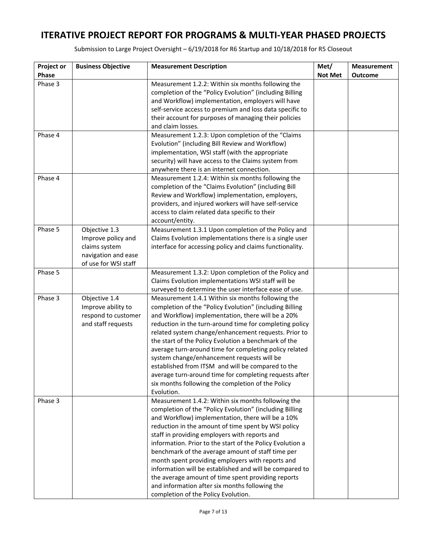| Project or | <b>Business Objective</b> | <b>Measurement Description</b>                                                                                | Met/           | <b>Measurement</b> |
|------------|---------------------------|---------------------------------------------------------------------------------------------------------------|----------------|--------------------|
| Phase      |                           |                                                                                                               | <b>Not Met</b> | <b>Outcome</b>     |
| Phase 3    |                           | Measurement 1.2.2: Within six months following the                                                            |                |                    |
|            |                           | completion of the "Policy Evolution" (including Billing                                                       |                |                    |
|            |                           | and Workflow) implementation, employers will have<br>self-service access to premium and loss data specific to |                |                    |
|            |                           | their account for purposes of managing their policies                                                         |                |                    |
|            |                           | and claim losses.                                                                                             |                |                    |
| Phase 4    |                           | Measurement 1.2.3: Upon completion of the "Claims                                                             |                |                    |
|            |                           | Evolution" (including Bill Review and Workflow)                                                               |                |                    |
|            |                           | implementation, WSI staff (with the appropriate                                                               |                |                    |
|            |                           | security) will have access to the Claims system from                                                          |                |                    |
|            |                           | anywhere there is an internet connection.                                                                     |                |                    |
| Phase 4    |                           | Measurement 1.2.4: Within six months following the                                                            |                |                    |
|            |                           | completion of the "Claims Evolution" (including Bill                                                          |                |                    |
|            |                           | Review and Workflow) implementation, employers,<br>providers, and injured workers will have self-service      |                |                    |
|            |                           | access to claim related data specific to their                                                                |                |                    |
|            |                           | account/entity.                                                                                               |                |                    |
| Phase 5    | Objective 1.3             | Measurement 1.3.1 Upon completion of the Policy and                                                           |                |                    |
|            | Improve policy and        | Claims Evolution implementations there is a single user                                                       |                |                    |
|            | claims system             | interface for accessing policy and claims functionality.                                                      |                |                    |
|            | navigation and ease       |                                                                                                               |                |                    |
|            | of use for WSI staff      |                                                                                                               |                |                    |
| Phase 5    |                           | Measurement 1.3.2: Upon completion of the Policy and                                                          |                |                    |
|            |                           | Claims Evolution implementations WSI staff will be<br>surveyed to determine the user interface ease of use.   |                |                    |
| Phase 3    | Objective 1.4             | Measurement 1.4.1 Within six months following the                                                             |                |                    |
|            | Improve ability to        | completion of the "Policy Evolution" (including Billing                                                       |                |                    |
|            | respond to customer       | and Workflow) implementation, there will be a 20%                                                             |                |                    |
|            | and staff requests        | reduction in the turn-around time for completing policy                                                       |                |                    |
|            |                           | related system change/enhancement requests. Prior to                                                          |                |                    |
|            |                           | the start of the Policy Evolution a benchmark of the                                                          |                |                    |
|            |                           | average turn-around time for completing policy related                                                        |                |                    |
|            |                           | system change/enhancement requests will be                                                                    |                |                    |
|            |                           | established from ITSM and will be compared to the                                                             |                |                    |
|            |                           | average turn-around time for completing requests after                                                        |                |                    |
|            |                           | six months following the completion of the Policy<br>Evolution.                                               |                |                    |
| Phase 3    |                           | Measurement 1.4.2: Within six months following the                                                            |                |                    |
|            |                           | completion of the "Policy Evolution" (including Billing                                                       |                |                    |
|            |                           | and Workflow) implementation, there will be a 10%                                                             |                |                    |
|            |                           | reduction in the amount of time spent by WSI policy                                                           |                |                    |
|            |                           | staff in providing employers with reports and                                                                 |                |                    |
|            |                           | information. Prior to the start of the Policy Evolution a                                                     |                |                    |
|            |                           | benchmark of the average amount of staff time per                                                             |                |                    |
|            |                           | month spent providing employers with reports and                                                              |                |                    |
|            |                           | information will be established and will be compared to                                                       |                |                    |
|            |                           | the average amount of time spent providing reports<br>and information after six months following the          |                |                    |
|            |                           | completion of the Policy Evolution.                                                                           |                |                    |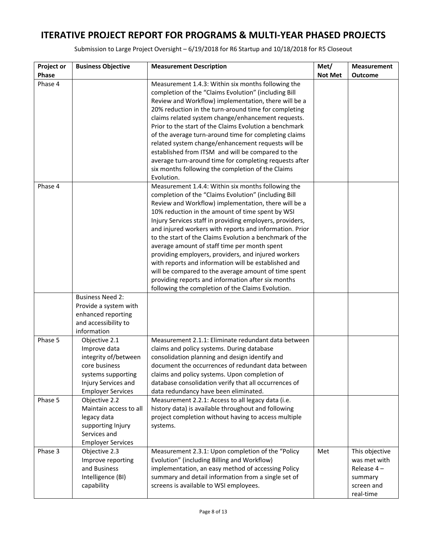| Project or | <b>Business Objective</b>                 | <b>Measurement Description</b>                                                                                                                                                                                              | Met/           | <b>Measurement</b>         |
|------------|-------------------------------------------|-----------------------------------------------------------------------------------------------------------------------------------------------------------------------------------------------------------------------------|----------------|----------------------------|
| Phase      |                                           |                                                                                                                                                                                                                             | <b>Not Met</b> | <b>Outcome</b>             |
| Phase 4    |                                           | Measurement 1.4.3: Within six months following the<br>completion of the "Claims Evolution" (including Bill<br>Review and Workflow) implementation, there will be a<br>20% reduction in the turn-around time for completing  |                |                            |
|            |                                           | claims related system change/enhancement requests.<br>Prior to the start of the Claims Evolution a benchmark<br>of the average turn-around time for completing claims<br>related system change/enhancement requests will be |                |                            |
|            |                                           | established from ITSM and will be compared to the<br>average turn-around time for completing requests after<br>six months following the completion of the Claims                                                            |                |                            |
| Phase 4    |                                           | Evolution.<br>Measurement 1.4.4: Within six months following the<br>completion of the "Claims Evolution" (including Bill                                                                                                    |                |                            |
|            |                                           | Review and Workflow) implementation, there will be a<br>10% reduction in the amount of time spent by WSI                                                                                                                    |                |                            |
|            |                                           | Injury Services staff in providing employers, providers,<br>and injured workers with reports and information. Prior<br>to the start of the Claims Evolution a benchmark of the                                              |                |                            |
|            |                                           | average amount of staff time per month spent<br>providing employers, providers, and injured workers<br>with reports and information will be established and                                                                 |                |                            |
|            |                                           | will be compared to the average amount of time spent<br>providing reports and information after six months                                                                                                                  |                |                            |
|            | <b>Business Need 2:</b>                   | following the completion of the Claims Evolution.                                                                                                                                                                           |                |                            |
|            | Provide a system with                     |                                                                                                                                                                                                                             |                |                            |
|            | enhanced reporting                        |                                                                                                                                                                                                                             |                |                            |
|            | and accessibility to<br>information       |                                                                                                                                                                                                                             |                |                            |
| Phase 5    | Objective 2.1<br>Improve data             | Measurement 2.1.1: Eliminate redundant data between<br>claims and policy systems. During database                                                                                                                           |                |                            |
|            | integrity of/between<br>core business     | consolidation planning and design identify and<br>document the occurrences of redundant data between                                                                                                                        |                |                            |
|            | systems supporting<br>Injury Services and | claims and policy systems. Upon completion of<br>database consolidation verify that all occurrences of                                                                                                                      |                |                            |
|            | <b>Employer Services</b>                  | data redundancy have been eliminated.                                                                                                                                                                                       |                |                            |
| Phase 5    | Objective 2.2<br>Maintain access to all   | Measurement 2.2.1: Access to all legacy data (i.e.<br>history data) is available throughout and following                                                                                                                   |                |                            |
|            | legacy data<br>supporting Injury          | project completion without having to access multiple<br>systems.                                                                                                                                                            |                |                            |
|            | Services and<br><b>Employer Services</b>  |                                                                                                                                                                                                                             |                |                            |
| Phase 3    | Objective 2.3                             | Measurement 2.3.1: Upon completion of the "Policy                                                                                                                                                                           | Met            | This objective             |
|            | Improve reporting<br>and Business         | Evolution" (including Billing and Workflow)<br>implementation, an easy method of accessing Policy                                                                                                                           |                | was met with<br>Release 4- |
|            | Intelligence (BI)                         | summary and detail information from a single set of                                                                                                                                                                         |                | summary                    |
|            | capability                                | screens is available to WSI employees.                                                                                                                                                                                      |                | screen and<br>real-time    |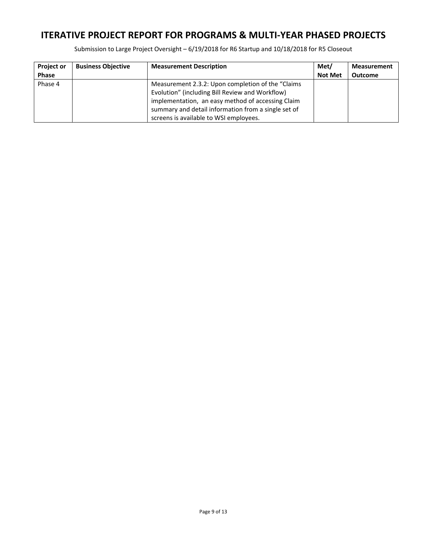| <b>Project or</b> | <b>Business Objective</b> | <b>Measurement Description</b>                                                                                                                                                                                                                              | Met/           | <b>Measurement</b> |
|-------------------|---------------------------|-------------------------------------------------------------------------------------------------------------------------------------------------------------------------------------------------------------------------------------------------------------|----------------|--------------------|
| <b>Phase</b>      |                           |                                                                                                                                                                                                                                                             | <b>Not Met</b> | <b>Outcome</b>     |
| Phase 4           |                           | Measurement 2.3.2: Upon completion of the "Claims"<br>Evolution" (including Bill Review and Workflow)<br>implementation, an easy method of accessing Claim<br>summary and detail information from a single set of<br>screens is available to WSI employees. |                |                    |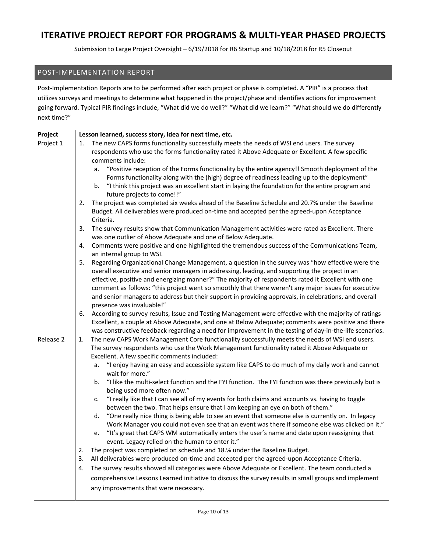Submission to Large Project Oversight – 6/19/2018 for R6 Startup and 10/18/2018 for R5 Closeout

### POST‐IMPLEMENTATION REPORT

Post-Implementation Reports are to be performed after each project or phase is completed. A "PIR" is a process that utilizes surveys and meetings to determine what happened in the project/phase and identifies actions for improvement going forward. Typical PIR findings include, "What did we do well?" "What did we learn?" "What should we do differently next time?"

| Project   | Lesson learned, success story, idea for next time, etc.                                                                                  |
|-----------|------------------------------------------------------------------------------------------------------------------------------------------|
| Project 1 | The new CAPS forms functionality successfully meets the needs of WSI end users. The survey<br>1.                                         |
|           | respondents who use the forms functionality rated it Above Adequate or Excellent. A few specific                                         |
|           | comments include:                                                                                                                        |
|           | "Positive reception of the Forms functionality by the entire agency!! Smooth deployment of the<br>a.                                     |
|           | Forms functionality along with the (high) degree of readiness leading up to the deployment"                                              |
|           | "I think this project was an excellent start in laying the foundation for the entire program and<br>b.                                   |
|           | future projects to come!!"                                                                                                               |
|           | 2.<br>The project was completed six weeks ahead of the Baseline Schedule and 20.7% under the Baseline                                    |
|           | Budget. All deliverables were produced on-time and accepted per the agreed-upon Acceptance<br>Criteria.                                  |
|           | 3.<br>The survey results show that Communication Management activities were rated as Excellent. There                                    |
|           | was one outlier of Above Adequate and one of Below Adequate.                                                                             |
|           | Comments were positive and one highlighted the tremendous success of the Communications Team,<br>4.                                      |
|           | an internal group to WSI.                                                                                                                |
|           | Regarding Organizational Change Management, a question in the survey was "how effective were the<br>5.                                   |
|           | overall executive and senior managers in addressing, leading, and supporting the project in an                                           |
|           | effective, positive and energizing manner?" The majority of respondents rated it Excellent with one                                      |
|           | comment as follows: "this project went so smoothly that there weren't any major issues for executive                                     |
|           | and senior managers to address but their support in providing approvals, in celebrations, and overall                                    |
|           | presence was invaluable!"<br>According to survey results, Issue and Testing Management were effective with the majority of ratings<br>6. |
|           | Excellent, a couple at Above Adequate, and one at Below Adequate; comments were positive and there                                       |
|           | was constructive feedback regarding a need for improvement in the testing of day-in-the-life scenarios.                                  |
| Release 2 | The new CAPS Work Management Core functionality successfully meets the needs of WSI end users.<br>1.                                     |
|           | The survey respondents who use the Work Management functionality rated it Above Adequate or                                              |
|           | Excellent. A few specific comments included:                                                                                             |
|           | "I enjoy having an easy and accessible system like CAPS to do much of my daily work and cannot<br>а.                                     |
|           | wait for more."                                                                                                                          |
|           | "I like the multi-select function and the FYI function. The FYI function was there previously but is<br>b.                               |
|           | being used more often now."<br>"I really like that I can see all of my events for both claims and accounts vs. having to toggle<br>c.    |
|           | between the two. That helps ensure that I am keeping an eye on both of them."                                                            |
|           | "One really nice thing is being able to see an event that someone else is currently on. In legacy<br>d.                                  |
|           | Work Manager you could not even see that an event was there if someone else was clicked on it."                                          |
|           | "It's great that CAPS WM automatically enters the user's name and date upon reassigning that<br>e.                                       |
|           | event. Legacy relied on the human to enter it."                                                                                          |
|           | The project was completed on schedule and 18.% under the Baseline Budget.<br>2.                                                          |
|           | All deliverables were produced on-time and accepted per the agreed-upon Acceptance Criteria.<br>3.                                       |
|           | The survey results showed all categories were Above Adequate or Excellent. The team conducted a<br>4.                                    |
|           | comprehensive Lessons Learned initiative to discuss the survey results in small groups and implement                                     |
|           | any improvements that were necessary.                                                                                                    |
|           |                                                                                                                                          |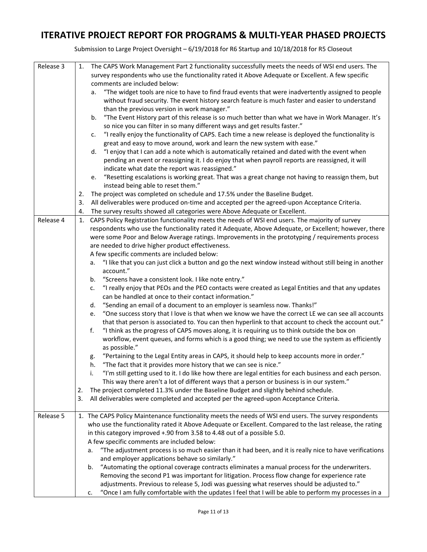| Release 3 | 1. | The CAPS Work Management Part 2 functionality successfully meets the needs of WSI end users. The                                                                                     |
|-----------|----|--------------------------------------------------------------------------------------------------------------------------------------------------------------------------------------|
|           |    | survey respondents who use the functionality rated it Above Adequate or Excellent. A few specific                                                                                    |
|           |    | comments are included below:                                                                                                                                                         |
|           |    | "The widget tools are nice to have to find fraud events that were inadvertently assigned to people<br>а.                                                                             |
|           |    | without fraud security. The event history search feature is much faster and easier to understand                                                                                     |
|           |    | than the previous version in work manager."                                                                                                                                          |
|           |    | "The Event History part of this release is so much better than what we have in Work Manager. It's<br>b.<br>so nice you can filter in so many different ways and get results faster." |
|           |    | "I really enjoy the functionality of CAPS. Each time a new release is deployed the functionality is                                                                                  |
|           |    | c.<br>great and easy to move around, work and learn the new system with ease."                                                                                                       |
|           |    | "I enjoy that I can add a note which is automatically retained and dated with the event when<br>d.                                                                                   |
|           |    | pending an event or reassigning it. I do enjoy that when payroll reports are reassigned, it will                                                                                     |
|           |    | indicate what date the report was reassigned."                                                                                                                                       |
|           |    | e. "Resetting escalations is working great. That was a great change not having to reassign them, but                                                                                 |
|           |    | instead being able to reset them."                                                                                                                                                   |
|           | 2. | The project was completed on schedule and 17.5% under the Baseline Budget.                                                                                                           |
|           | 3. | All deliverables were produced on-time and accepted per the agreed-upon Acceptance Criteria.                                                                                         |
|           | 4. | The survey results showed all categories were Above Adequate or Excellent.                                                                                                           |
| Release 4 | 1. | CAPS Policy Registration functionality meets the needs of WSI end users. The majority of survey                                                                                      |
|           |    | respondents who use the functionality rated it Adequate, Above Adequate, or Excellent; however, there                                                                                |
|           |    | were some Poor and Below Average ratings. Improvements in the prototyping / requirements process                                                                                     |
|           |    | are needed to drive higher product effectiveness.                                                                                                                                    |
|           |    | A few specific comments are included below:                                                                                                                                          |
|           |    | "I like that you can just click a button and go the next window instead without still being in another<br>а.                                                                         |
|           |    | account."                                                                                                                                                                            |
|           |    | "Screens have a consistent look. I like note entry."<br>b.                                                                                                                           |
|           |    | "I really enjoy that PEOs and the PEO contacts were created as Legal Entities and that any updates<br>c.                                                                             |
|           |    | can be handled at once to their contact information."                                                                                                                                |
|           |    | "Sending an email of a document to an employer is seamless now. Thanks!"<br>d.                                                                                                       |
|           |    | "One success story that I love is that when we know we have the correct LE we can see all accounts<br>e.                                                                             |
|           |    | that that person is associated to. You can then hyperlink to that account to check the account out."                                                                                 |
|           |    | f.<br>"I think as the progress of CAPS moves along, it is requiring us to think outside the box on                                                                                   |
|           |    | workflow, event queues, and forms which is a good thing; we need to use the system as efficiently                                                                                    |
|           |    | as possible."                                                                                                                                                                        |
|           |    | "Pertaining to the Legal Entity areas in CAPS, it should help to keep accounts more in order."<br>g.                                                                                 |
|           |    | "The fact that it provides more history that we can see is nice."<br>h.                                                                                                              |
|           |    | "I'm still getting used to it. I do like how there are legal entities for each business and each person.                                                                             |
|           |    | This way there aren't a lot of different ways that a person or business is in our system."                                                                                           |
|           | 2. | The project completed 11.3% under the Baseline Budget and slightly behind schedule.                                                                                                  |
|           | 3. | All deliverables were completed and accepted per the agreed-upon Acceptance Criteria.                                                                                                |
|           |    |                                                                                                                                                                                      |
| Release 5 |    | 1. The CAPS Policy Maintenance functionality meets the needs of WSI end users. The survey respondents                                                                                |
|           |    | who use the functionality rated it Above Adequate or Excellent. Compared to the last release, the rating                                                                             |
|           |    | in this category improved +.90 from 3.58 to 4.48 out of a possible 5.0.                                                                                                              |
|           |    | A few specific comments are included below:                                                                                                                                          |
|           |    | "The adjustment process is so much easier than it had been, and it is really nice to have verifications<br>а.                                                                        |
|           |    | and employer applications behave so similarly."                                                                                                                                      |
|           |    | "Automating the optional coverage contracts eliminates a manual process for the underwriters.<br>b.                                                                                  |
|           |    | Removing the second P1 was important for litigation. Process flow change for experience rate                                                                                         |
|           |    | adjustments. Previous to release 5, Jodi was guessing what reserves should be adjusted to."                                                                                          |
|           |    | "Once I am fully comfortable with the updates I feel that I will be able to perform my processes in a<br>c.                                                                          |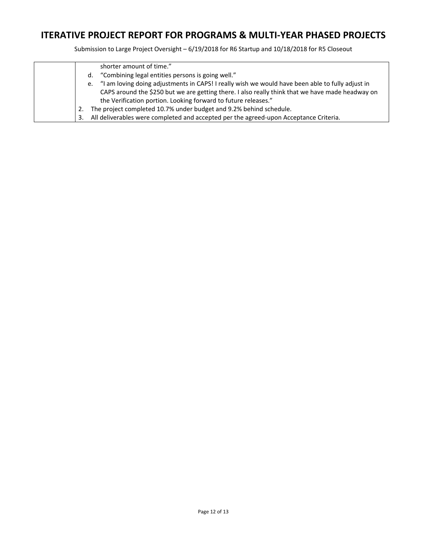|    | shorter amount of time."                                                                            |
|----|-----------------------------------------------------------------------------------------------------|
|    | d. "Combining legal entities persons is going well."                                                |
|    | e. "I am loving doing adjustments in CAPS! I really wish we would have been able to fully adjust in |
|    | CAPS around the \$250 but we are getting there. I also really think that we have made headway on    |
|    | the Verification portion. Looking forward to future releases."                                      |
|    | The project completed 10.7% under budget and 9.2% behind schedule.                                  |
| 3. | All deliverables were completed and accepted per the agreed-upon Acceptance Criteria.               |